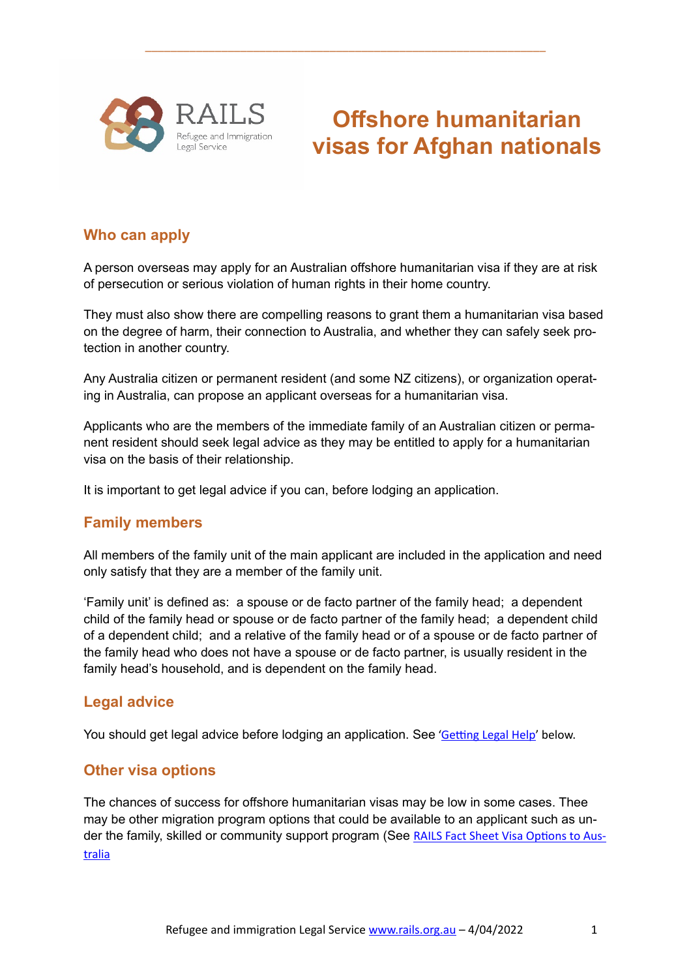

**Offshore humanitarian visas for Afghan nationals**

#### **Who can apply**

A person overseas may apply for an Australian offshore humanitarian visa if they are at risk of persecution or serious violation of human rights in their home country.

\_\_\_\_\_\_\_\_\_\_\_\_\_\_\_\_\_\_\_\_\_\_\_\_\_\_\_\_\_\_\_\_\_\_\_\_\_\_\_\_\_\_\_\_\_\_\_\_\_\_\_\_\_\_\_\_\_\_\_\_\_\_\_

They must also show there are compelling reasons to grant them a humanitarian visa based on the degree of harm, their connection to Australia, and whether they can safely seek protection in another country.

Any Australia citizen or permanent resident (and some NZ citizens), or organization operating in Australia, can propose an applicant overseas for a humanitarian visa.

Applicants who are the members of the immediate family of an Australian citizen or permanent resident should seek legal advice as they may be entitled to apply for a humanitarian visa on the basis of their relationship.

It is important to get legal advice if you can, before lodging an application.

#### **Family members**

All members of the family unit of the main applicant are included in the application and need only satisfy that they are a member of the family unit.

'Family unit' is defined as: a spouse or de facto partner of the family head; a dependent child of the family head or spouse or de facto partner of the family head; a dependent child of a dependent child; and a relative of the family head or of a spouse or de facto partner of the family head who does not have a spouse or de facto partner, is usually resident in the family head's household, and is dependent on the family head.

#### **Legal advice**

You should get legal advice before lodging an application. See 'Getting Legal Help' below.

#### **Other visa options**

The chances of success for offshore humanitarian visas may be low in some cases. Thee may be other migration program options that could be available to an applicant such as under the family, skilled or community support program (See RAILS Fact Sheet Visa Options to Aus[tralia](https://www.rails.org.au/sites/default/files/2022-03/2022.03.13-Visas%20to%20Australia-Overview.pdf)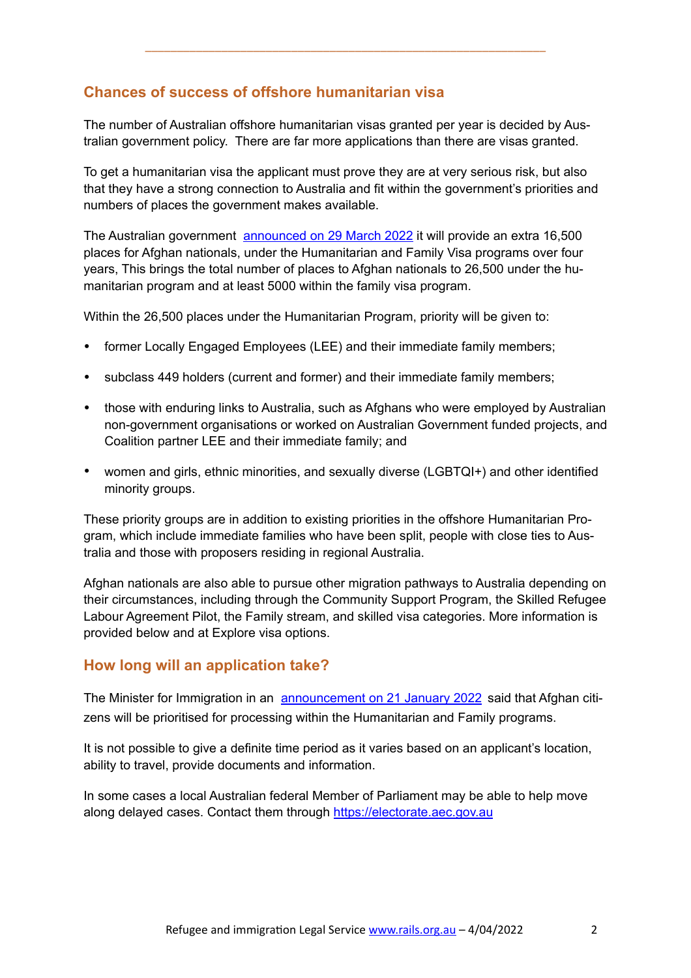# **Chances of success of offshore humanitarian visa**

The number of Australian offshore humanitarian visas granted per year is decided by Australian government policy. There are far more applications than there are visas granted.

\_\_\_\_\_\_\_\_\_\_\_\_\_\_\_\_\_\_\_\_\_\_\_\_\_\_\_\_\_\_\_\_\_\_\_\_\_\_\_\_\_\_\_\_\_\_\_\_\_\_\_\_\_\_\_\_\_\_\_\_\_\_\_

To get a humanitarian visa the applicant must prove they are at very serious risk, but also that they have a strong connection to Australia and fit within the government's priorities and numbers of places the government makes available.

The Australian government [announced on 29 March 2022](https://minister.homeaffairs.gov.au/AlexHawke/Pages/2022-23-budget-release.aspx) it will provide an extra 16,500 places for Afghan nationals, under the Humanitarian and Family Visa programs over four years, This brings the total number of places to Afghan nationals to 26,500 under the humanitarian program and at least 5000 within the family visa program.

Within the 26,500 places under the Humanitarian Program, priority will be given to:

- former Locally Engaged Employees (LEE) and their immediate family members;
- subclass 449 holders (current and former) and their immediate family members;
- those with enduring links to Australia, such as Afghans who were employed by Australian non-government organisations or worked on Australian Government funded projects, and Coalition partner LEE and their immediate family; and
- women and girls, ethnic minorities, and sexually diverse (LGBTQI+) and other identified minority groups.

These priority groups are in addition to existing priorities in the offshore Humanitarian Program, which include immediate families who have been split, people with close ties to Australia and those with proposers residing in regional Australia.

Afghan nationals are also able to pursue other migration pathways to Australia depending on their circumstances, including through the Community Support Program, the Skilled Refugee Labour Agreement Pilot, the Family stream, and skilled visa categories. More information is provided below and at Explore visa options.

## **How long will an application take?**

The Minister for Immigration in an [announcement on 21 January 2022](https://minister.homeaffairs.gov.au/AlexHawke/Pages/commitment-to-afghanistan-increased.aspx) said that Afghan citizens will be prioritised for processing within the Humanitarian and Family programs.

It is not possible to give a definite time period as it varies based on an applicant's location, ability to travel, provide documents and information.

In some cases a local Australian federal Member of Parliament may be able to help move along delayed cases. Contact them through<https://electorate.aec.gov.au>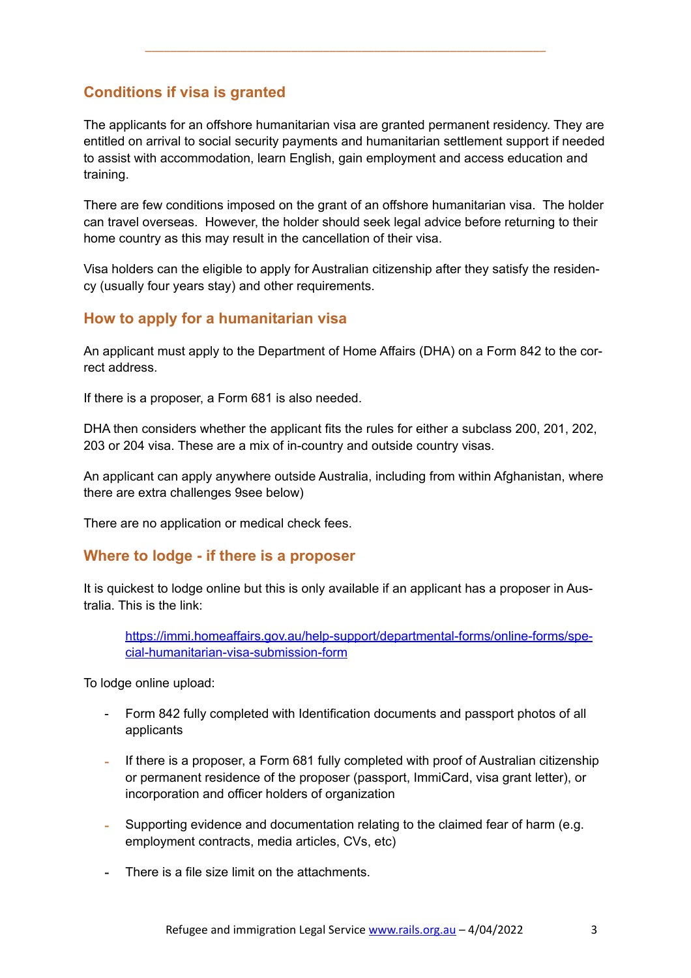# **Conditions if visa is granted**

The applicants for an offshore humanitarian visa are granted permanent residency. They are entitled on arrival to social security payments and humanitarian settlement support if needed to assist with accommodation, learn English, gain employment and access education and training.

\_\_\_\_\_\_\_\_\_\_\_\_\_\_\_\_\_\_\_\_\_\_\_\_\_\_\_\_\_\_\_\_\_\_\_\_\_\_\_\_\_\_\_\_\_\_\_\_\_\_\_\_\_\_\_\_\_\_\_\_\_\_\_

There are few conditions imposed on the grant of an offshore humanitarian visa. The holder can travel overseas. However, the holder should seek legal advice before returning to their home country as this may result in the cancellation of their visa.

Visa holders can the eligible to apply for Australian citizenship after they satisfy the residency (usually four years stay) and other requirements.

#### **How to apply for a humanitarian visa**

An applicant must apply to the Department of Home Affairs (DHA) on a Form 842 to the correct address.

If there is a proposer, a Form 681 is also needed.

DHA then considers whether the applicant fits the rules for either a subclass 200, 201, 202, 203 or 204 visa. These are a mix of in-country and outside country visas.

An applicant can apply anywhere outside Australia, including from within Afghanistan, where there are extra challenges 9see below)

There are no application or medical check fees.

#### **Where to lodge - if there is a proposer**

It is quickest to lodge online but this is only available if an applicant has a proposer in Australia. This is the link:

[https://immi.homeaffairs.gov.au/help-support/departmental-forms/online-forms/spe](https://immi.homeaffairs.gov.au/help-support/departmental-forms/online-forms/special-humanitarian-visa-submission-form)[cial-humanitarian-visa-submission-form](https://immi.homeaffairs.gov.au/help-support/departmental-forms/online-forms/special-humanitarian-visa-submission-form)

To lodge online upload:

- Form 842 fully completed with Identification documents and passport photos of all applicants
- If there is a proposer, a Form 681 fully completed with proof of Australian citizenship or permanent residence of the proposer (passport, ImmiCard, visa grant letter), or incorporation and officer holders of organization
- Supporting evidence and documentation relating to the claimed fear of harm (e.g. employment contracts, media articles, CVs, etc)
- There is a file size limit on the attachments.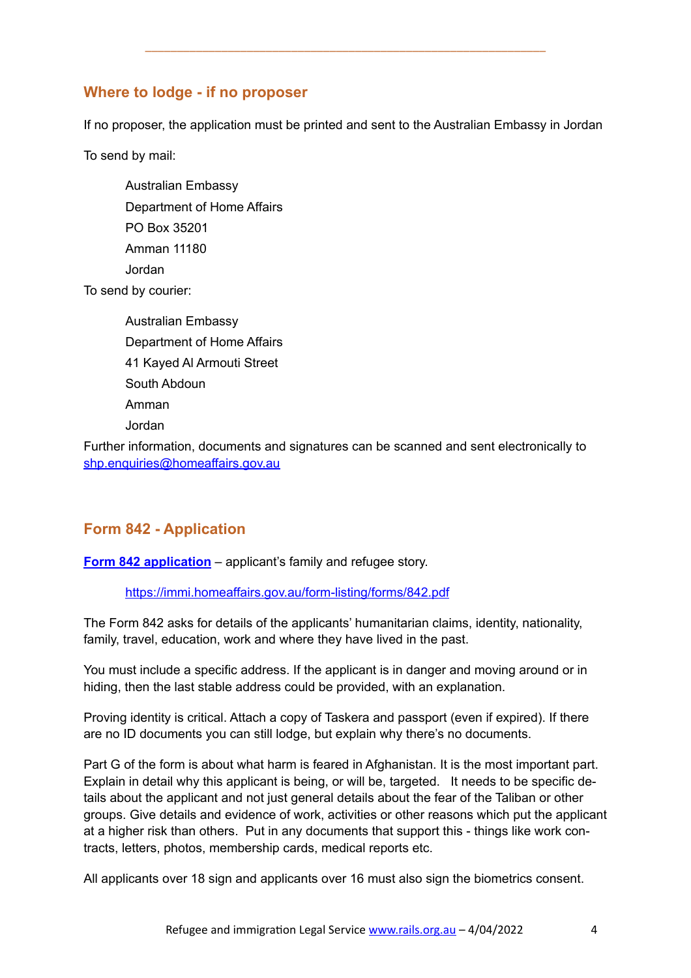# **Where to lodge - if no proposer**

If no proposer, the application must be printed and sent to the Australian Embassy in Jordan

\_\_\_\_\_\_\_\_\_\_\_\_\_\_\_\_\_\_\_\_\_\_\_\_\_\_\_\_\_\_\_\_\_\_\_\_\_\_\_\_\_\_\_\_\_\_\_\_\_\_\_\_\_\_\_\_\_\_\_\_\_\_\_

To send by mail:

Australian Embassy Department of Home Affairs PO Box 35201 Amman 11180 Jordan To send by courier:

> Australian Embassy Department of Home Affairs 41 Kayed Al Armouti Street South Abdoun Amman Jordan

Further information, documents and signatures can be scanned and sent electronically to [shp.enquiries@homeaffairs.gov.au](mailto:shp.enquiries@homeaffairs.gov.au)

# **Form 842 - Application**

**[Form 842 application](https://immi.homeaffairs.gov.au/form-listing/forms/842.pdf)** – applicant's family and refugee story.

<https://immi.homeaffairs.gov.au/form-listing/forms/842.pdf>

The Form 842 asks for details of the applicants' humanitarian claims, identity, nationality, family, travel, education, work and where they have lived in the past.

You must include a specific address. If the applicant is in danger and moving around or in hiding, then the last stable address could be provided, with an explanation.

Proving identity is critical. Attach a copy of Taskera and passport (even if expired). If there are no ID documents you can still lodge, but explain why there's no documents.

Part G of the form is about what harm is feared in Afghanistan. It is the most important part. Explain in detail why this applicant is being, or will be, targeted. It needs to be specific details about the applicant and not just general details about the fear of the Taliban or other groups. Give details and evidence of work, activities or other reasons which put the applicant at a higher risk than others. Put in any documents that support this - things like work contracts, letters, photos, membership cards, medical reports etc.

All applicants over 18 sign and applicants over 16 must also sign the biometrics consent.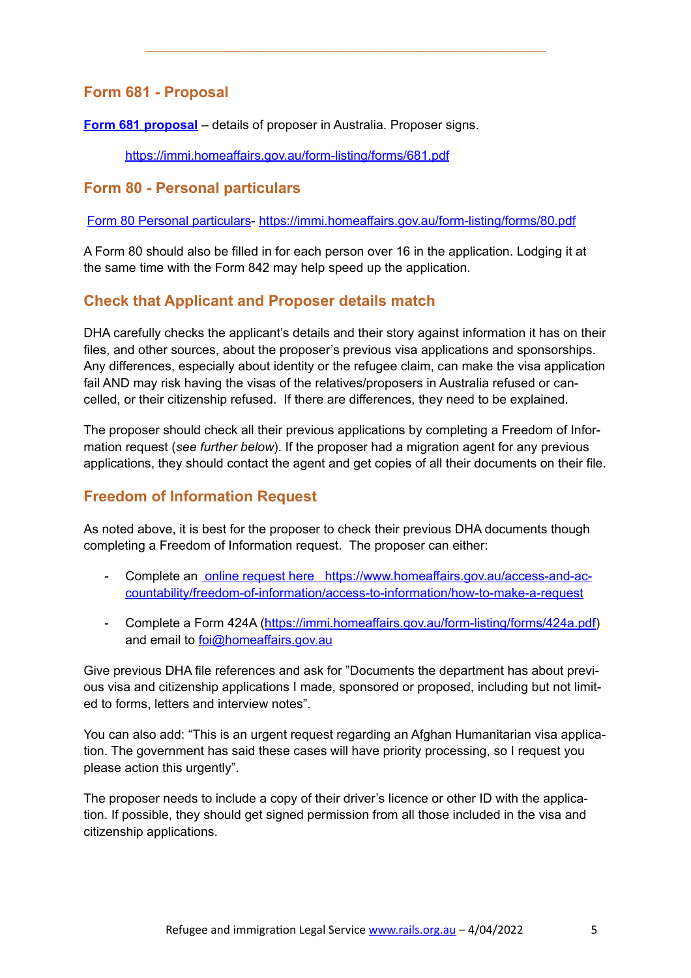# **Form 681 - Proposal**

**[Form 681](https://immi.homeaffairs.gov.au/form-listing/forms/681.pdf) proposal** – details of proposer in Australia. Proposer signs.

<https://immi.homeaffairs.gov.au/form-listing/forms/681.pdf>

#### **Form 80 - Personal particulars**

[Form 80 Personal particulars](https://immi.homeaffairs.gov.au/form-listing/forms/80.pdf)- <https://immi.homeaffairs.gov.au/form-listing/forms/80.pdf>

\_\_\_\_\_\_\_\_\_\_\_\_\_\_\_\_\_\_\_\_\_\_\_\_\_\_\_\_\_\_\_\_\_\_\_\_\_\_\_\_\_\_\_\_\_\_\_\_\_\_\_\_\_\_\_\_\_\_\_\_\_\_\_

A Form 80 should also be filled in for each person over 16 in the application. Lodging it at the same time with the Form 842 may help speed up the application.

## **Check that Applicant and Proposer details match**

DHA carefully checks the applicant's details and their story against information it has on their files, and other sources, about the proposer's previous visa applications and sponsorships. Any differences, especially about identity or the refugee claim, can make the visa application fail AND may risk having the visas of the relatives/proposers in Australia refused or cancelled, or their citizenship refused. If there are differences, they need to be explained.

The proposer should check all their previous applications by completing a Freedom of Information request (*see further below*). If the proposer had a migration agent for any previous applications, they should contact the agent and get copies of all their documents on their file.

## **Freedom of Information Request**

As noted above, it is best for the proposer to check their previous DHA documents though completing a Freedom of Information request. The proposer can either:

- Complete an [online request here](https://www.homeaffairs.gov.au/access-and-accountability/freedom-of-information/access-to-information/how-to-make-a-request) https://www.homeaffairs.gov.au/access-and-accountability/freedom-of-information/access-to-information/how-to-make-a-request
- Complete a Form 424A ([https://immi.homeaffairs.gov.au/form-listing/forms/424a.pdf\)](https://immi.homeaffairs.gov.au/form-listing/forms/424a.pdf) and email to [foi@homeaffairs.gov.au](mailto:foi@homeaffairs.gov.au)

Give previous DHA file references and ask for "Documents the department has about previous visa and citizenship applications I made, sponsored or proposed, including but not limited to forms, letters and interview notes".

You can also add: "This is an urgent request regarding an Afghan Humanitarian visa application. The government has said these cases will have priority processing, so I request you please action this urgently".

The proposer needs to include a copy of their driver's licence or other ID with the application. If possible, they should get signed permission from all those included in the visa and citizenship applications.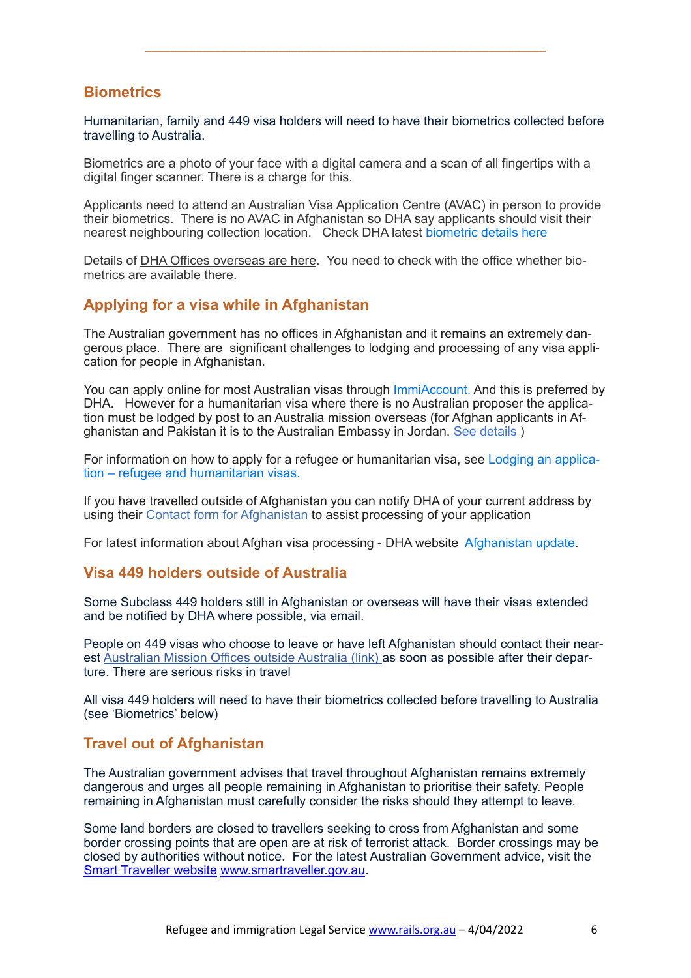#### **Biometrics**

Humanitarian, family and 449 visa holders will need to have their biometrics collected before travelling to Australia.

\_\_\_\_\_\_\_\_\_\_\_\_\_\_\_\_\_\_\_\_\_\_\_\_\_\_\_\_\_\_\_\_\_\_\_\_\_\_\_\_\_\_\_\_\_\_\_\_\_\_\_\_\_\_\_\_\_\_\_\_\_\_\_

Biometrics are a photo of your face with a digital camera and a scan of all fingertips with a digital finger scanner. There is a charge for this.

Applicants need to attend an Australian Visa Application Centre (AVAC) in person to provide their biometrics. There is no AVAC in Afghanistan so DHA say applicants should visit their nearest neighbouring collection location. Check DHA latest [biometric details here](https://immi.homeaffairs.gov.au/help-support/meeting-our-requirements/biometrics)

Details of [DHA Offices overseas are here](https://immi.homeaffairs.gov.au/help-support/contact-us/offices-and-locations/offices-outside-australia). You need to check with the office whether biometrics are available there.

#### **Applying for a visa while in Afghanistan**

The Australian government has no offices in Afghanistan and it remains an extremely dangerous place. There are significant challenges to lodging and processing of any visa application for people in Afghanistan.

You can apply online for most Australian visas through [ImmiAccount.](https://immi.homeaffairs.gov.au/help-support/applying-online-or-on-paper/online) And this is preferred by DHA. However for a humanitarian visa where there is no Australian proposer the application must be lodged by post to an Australia mission overseas (for Afghan applicants in Afghanistan and Pakistan it is to the Australian Embassy in Jordan. [See details](https://immi.homeaffairs.gov.au/help-support/contact-us/offices-and-locations/lodging-an-application-ref-and-hum-visas) )

For information on how to apply for a refugee or humanitarian visa, see [Lodging an applica](https://immi.homeaffairs.gov.au/help-support/contact-us/offices-and-locations/lodging-an-application-ref-and-hum-visas)[tion – refugee and humanitarian visas.](https://immi.homeaffairs.gov.au/help-support/contact-us/offices-and-locations/lodging-an-application-ref-and-hum-visas) 

If you have travelled outside of Afghanistan you can notify DHA of your current address by using their [Contact form for Afghanistan](https://www.homeaffairs.gov.au/help-and-support/afghanistan-update/contact-form-for-afghanistan) to assist processing of your application

For latest information about Afghan visa processing - DHA website [Afghanistan update](https://www.homeaffairs.gov.au/help-and-support/afghanistan-update).

#### **Visa 449 holders outside of Australia**

Some Subclass 449 holders still in Afghanistan or overseas will have their visas extended and be notified by DHA where possible, via email.

People on 449 visas who choose to leave or have left Afghanistan should contact their nearest [Australian Mission Offices outside Australia \(link\)](https://immi.homeaffairs.gov.au/help-support/contact-us/offices-and-locations/offices-outside-australia) as soon as possible after their departure. There are serious risks in travel

All visa 449 holders will need to have their biometrics collected before travelling to Australia (see 'Biometrics' below)

#### **Travel out of Afghanistan**

The Australian government advises that travel throughout Afghanistan remains extremely dangerous and urges all people remaining in Afghanistan to prioritise their safety. People remaining in Afghanistan must carefully consider the risks should they attempt to leave.

Some land borders are closed to travellers seeking to cross from Afghanistan and some border crossing points that are open are at risk of terrorist attack. Border crossings may be closed by authorities without notice. For the latest Australian Government advice, visit the [Smart Traveller website](https://www.smartraveller.gov.au/destinations) [www.smartraveller.gov.au](https://www.smartraveller.gov.au/destinations?title=Afghanistan&field_overall_advice_level_target_id=All).